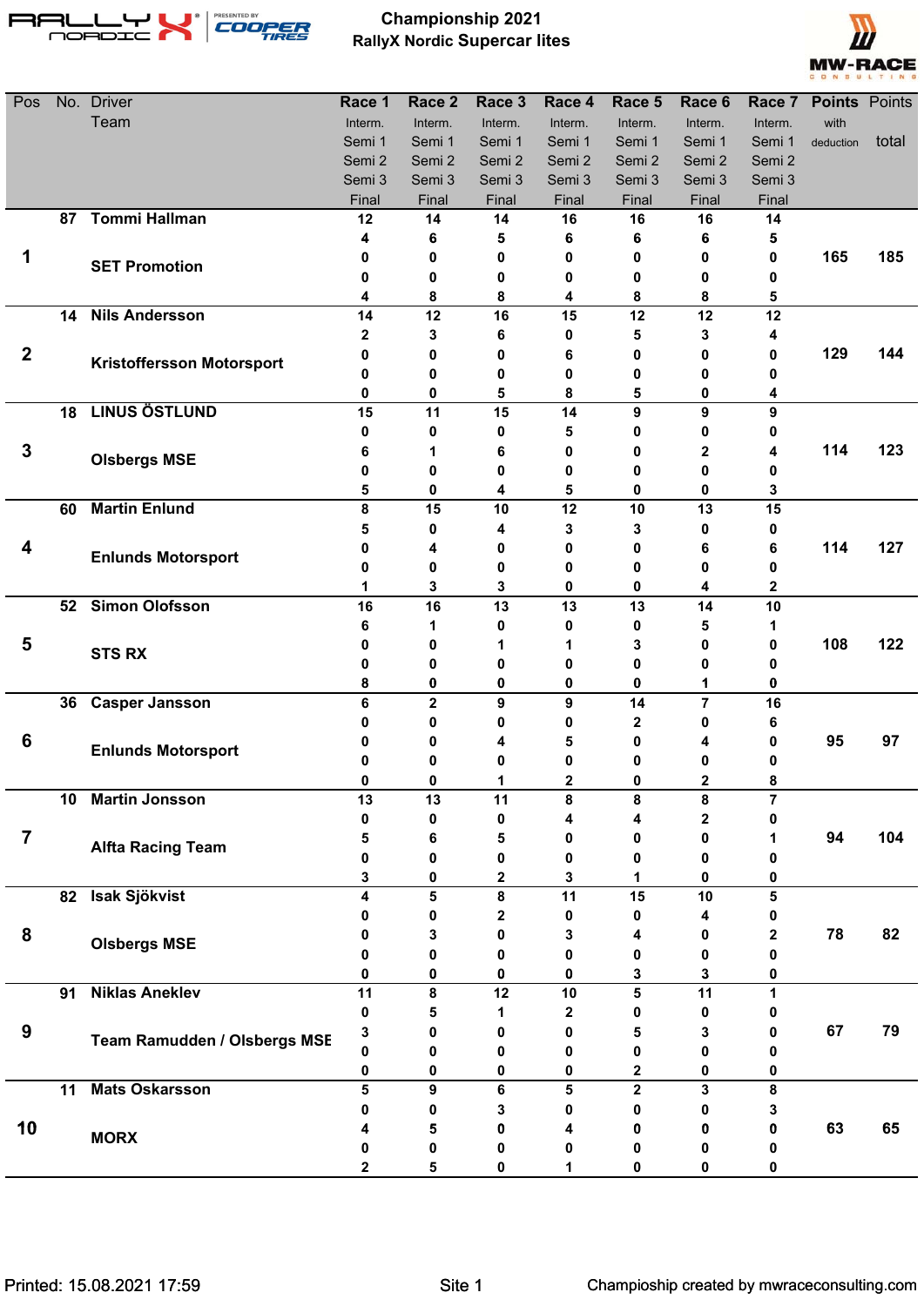

## **Championship 2021 RallyX Nordic Supercar lites**



| Pos                     | No. | <b>Driver</b>                    | Race 1  | Race 2                  | Race 3  | Race 4       | Race 5                  | Race 6  | Race 7  | <b>Points Points</b> |       |
|-------------------------|-----|----------------------------------|---------|-------------------------|---------|--------------|-------------------------|---------|---------|----------------------|-------|
|                         |     | Team                             | Interm. | Interm.                 | Interm. | Interm.      | Interm.                 | Interm. | Interm. | with                 |       |
|                         |     |                                  | Semi 1  | Semi 1                  | Semi 1  | Semi 1       | Semi 1                  | Semi 1  | Semi 1  | deduction            | total |
|                         |     |                                  | Semi 2  | Semi 2                  | Semi 2  | Semi 2       | Semi 2                  | Semi 2  | Semi 2  |                      |       |
|                         |     |                                  | Semi 3  | Semi 3                  | Semi 3  | Semi 3       | Semi 3                  | Semi 3  | Semi 3  |                      |       |
|                         |     |                                  | Final   | Final                   | Final   | Final        | Final                   | Final   | Final   |                      |       |
|                         |     | 87 Tommi Hallman                 | 12      | 14                      | 14      | 16           | 16                      | 16      | 14      |                      |       |
|                         |     |                                  | 4       | 6                       | 5       | 6            | 6                       | 6       | 5       |                      |       |
| 1                       |     | <b>SET Promotion</b>             | 0       | 0                       | 0       | 0            | 0                       | 0       | 0       | 165                  | 185   |
|                         |     |                                  | 0       | 0                       | 0       | 0            | 0                       | 0       | 0       |                      |       |
|                         | 14  | <b>Nils Andersson</b>            | 4<br>14 | 8<br>12                 | 8<br>16 | 4<br>15      | 8<br>12                 | 8<br>12 | 5<br>12 |                      |       |
|                         |     |                                  | 2       | 3                       | 6       | 0            | 5                       | 3       | 4       |                      |       |
| $\boldsymbol{2}$        |     |                                  | 0       | 0                       | 0       | 6            | 0                       | 0       | 0       | 129                  | 144   |
|                         |     | <b>Kristoffersson Motorsport</b> | 0       | 0                       | 0       | 0            | 0                       | 0       | 0       |                      |       |
|                         |     |                                  | 0       | 0                       | 5       | 8            | 5                       | 0       | 4       |                      |       |
|                         | 18  | <b>LINUS ÖSTLUND</b>             | 15      | 11                      | 15      | 14           | 9                       | 9       | 9       |                      |       |
|                         |     |                                  | 0       | 0                       | 0       | 5            | 0                       | 0       | 0       |                      |       |
| 3                       |     |                                  | 6       | 1                       | 6       | 0            | 0                       | 2       | 4       | 114                  | 123   |
|                         |     | <b>Olsbergs MSE</b>              | 0       | 0                       | 0       | 0            | 0                       | 0       | 0       |                      |       |
|                         |     |                                  | 5       | 0                       | 4       | 5            | 0                       | 0       | 3       |                      |       |
|                         | 60  | <b>Martin Enlund</b>             | 8       | 15                      | 10      | 12           | 10                      | 13      | 15      |                      |       |
|                         |     |                                  | 5       | 0                       | 4       | 3            | 3                       | 0       | 0       |                      |       |
| 4                       |     |                                  | 0       | 4                       | 0       | 0            | 0                       | 6       | 6       | 114                  | 127   |
|                         |     | <b>Enlunds Motorsport</b>        | 0       | 0                       | 0       | 0            | 0                       | 0       | 0       |                      |       |
|                         |     |                                  | 1       | 3                       | 3       | 0            | 0                       | 4       | 2       |                      |       |
|                         | 52  | <b>Simon Olofsson</b>            | 16      | 16                      | 13      | 13           | 13                      | 14      | 10      |                      |       |
|                         |     |                                  | 6       | 1                       | 0       | 0            | 0                       | 5       | 1       |                      |       |
| 5                       |     | <b>STS RX</b>                    | 0       | 0                       | 1       | 1            | 3                       | 0       | 0       | 108                  | 122   |
|                         |     |                                  | 0       | 0                       | 0       | 0            | 0                       | 0       | 0       |                      |       |
|                         |     |                                  | 8       | 0                       | 0       | 0            | $\bf{0}$                | 1       | 0       |                      |       |
|                         | 36  | <b>Casper Jansson</b>            | 6       | $\overline{\mathbf{2}}$ | 9       | 9            | 14                      | 7       | 16      |                      |       |
|                         |     |                                  | 0       | 0                       | 0       | 0            | 2                       | 0       | 6       |                      |       |
| 6                       |     | <b>Enlunds Motorsport</b>        | Ω       | 0                       |         | 5            | 0                       | 4       | 0       | 95                   | 97    |
|                         |     |                                  | 0       | 0                       | 0       | 0            | 0                       | 0       | 0       |                      |       |
|                         |     |                                  | 0       | 0                       |         |              | n                       | 2       |         |                      |       |
|                         | 10  | <b>Martin Jonsson</b>            | 13      | 13                      | 11      | 8            | 8                       | 8       | 7       |                      |       |
|                         |     |                                  | 0       | 0                       | 0       | 4            | 4                       | 2       | 0       |                      |       |
| $\overline{\mathbf{7}}$ |     | <b>Alfta Racing Team</b>         | 5       | 6                       | 5       | 0            | 0                       | 0       | 1       | 94                   | 104   |
|                         |     |                                  | 0       | 0                       | 0       | 0            | 0                       | 0       | 0       |                      |       |
|                         |     |                                  | 3       | 0                       | 2       | 3            | 1                       | 0       | 0       |                      |       |
|                         |     | 82 Isak Sjökvist                 | 4       | 5                       | 8       | 11           | 15                      | 10      | 5       |                      |       |
|                         |     |                                  | 0       | 0                       | 2       | 0            | 0                       | 4       | 0       |                      |       |
| 8                       |     | <b>Olsbergs MSE</b>              | 0<br>o  | 3<br>0                  | 0       | 3            | 4                       | 0<br>0  | 2<br>0  | 78                   | 82    |
|                         |     |                                  |         |                         | 0       | 0            | 0                       |         |         |                      |       |
|                         | 91  | <b>Niklas Aneklev</b>            | 0<br>11 | 0<br>8                  | 0<br>12 | 0<br>10      | 3<br>5                  | 3<br>11 | 0<br>1  |                      |       |
|                         |     |                                  | 0       | 5                       | 1       | $\mathbf{2}$ | 0                       | 0       | 0       |                      |       |
| 9                       |     |                                  | 3       | 0                       | 0       | 0            | 5                       | 3       | 0       | 67                   | 79    |
|                         |     | Team Ramudden / Olsbergs MSE     | 0       | 0                       | 0       | 0            | 0                       | 0       | 0       |                      |       |
|                         |     |                                  | 0       | 0                       | 0       | 0            | 2                       | 0       | 0       |                      |       |
|                         | 11  | <b>Mats Oskarsson</b>            | 5       | 9                       | 6       | 5            | $\overline{\mathbf{2}}$ | 3       | 8       |                      |       |
|                         |     |                                  | 0       | 0                       | 3       | 0            | 0                       | 0       | 3       |                      |       |
| 10                      |     |                                  |         | 5                       | 0       | 4            | 0                       | 0       | 0       | 63                   | 65    |
|                         |     | <b>MORX</b>                      | 0       | 0                       | 0       | 0            | 0                       | 0       | 0       |                      |       |
|                         |     |                                  | 2       | 5                       | 0       |              | 0                       | 0       | 0       |                      |       |
|                         |     |                                  |         |                         |         |              |                         |         |         |                      |       |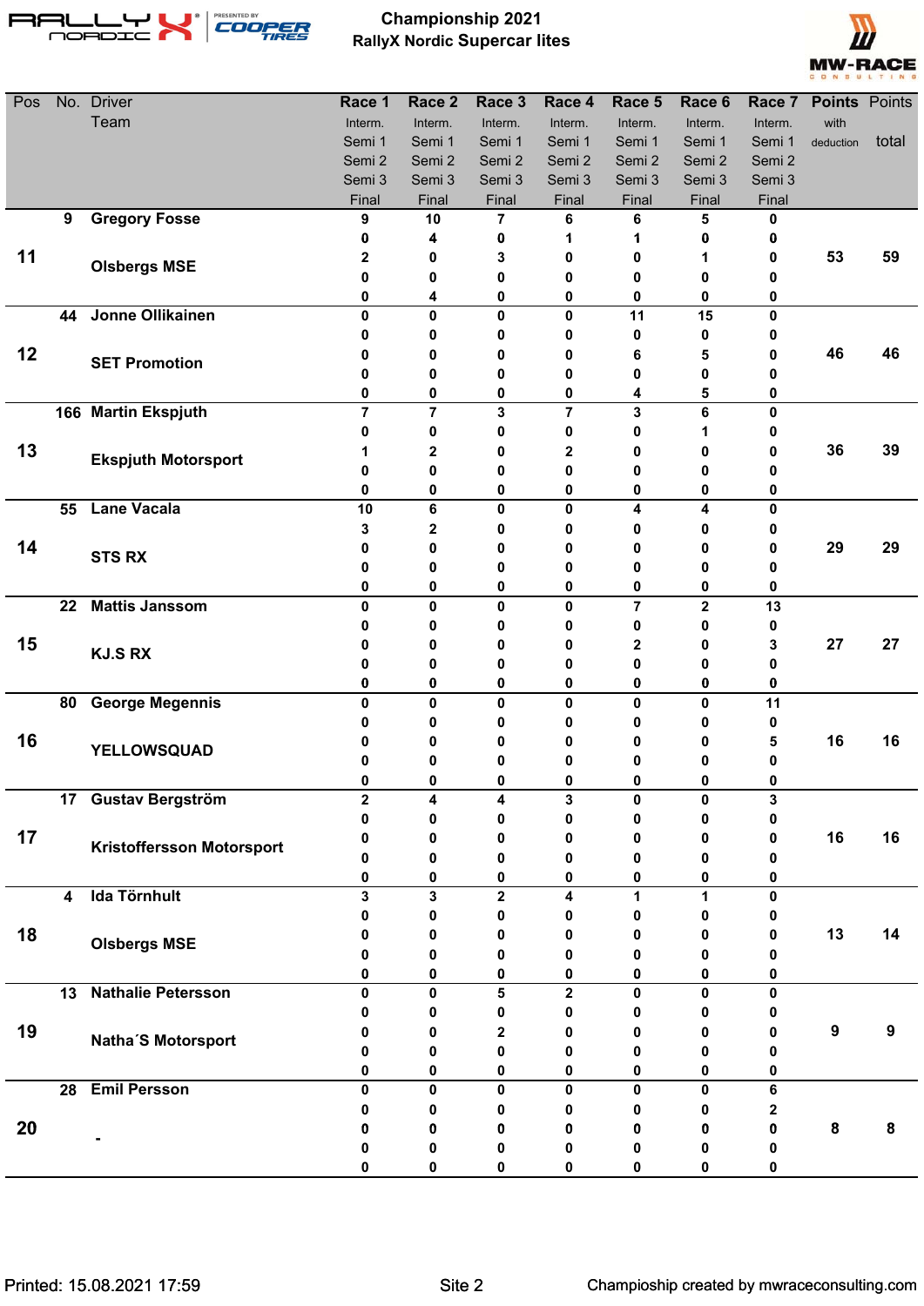

## **Championship 2021 RallyX Nordic Supercar lites**



| Pos | No. | <b>Driver</b>                    | Race 1           | Race <sub>2</sub> | Race 3           | Race 4                  | Race 5  | Race 6       |              | Race 7 Points Points |       |
|-----|-----|----------------------------------|------------------|-------------------|------------------|-------------------------|---------|--------------|--------------|----------------------|-------|
|     |     | Team                             | Interm.          | Interm.           | Interm.          | Interm.                 | Interm. | Interm.      | Interm.      | with                 |       |
|     |     |                                  | Semi 1           | Semi 1            | Semi 1           | Semi 1                  | Semi 1  | Semi 1       | Semi 1       | deduction            | total |
|     |     |                                  | Semi 2           | Semi 2            | Semi 2           | Semi 2                  | Semi 2  | Semi 2       | Semi 2       |                      |       |
|     |     |                                  | Semi 3           | Semi 3            | Semi 3           | Semi 3                  | Semi 3  | Semi 3       | Semi 3       |                      |       |
|     |     |                                  | Final            | Final             | Final            | Final                   | Final   | Final        | Final        |                      |       |
|     | 9   | <b>Gregory Fosse</b>             | 9                | 10                | 7                | 6                       | 6       | 5            | 0            |                      |       |
|     |     |                                  | 0                | 4                 | 0                | 1                       | 1       | 0            | 0            |                      |       |
| 11  |     | <b>Olsbergs MSE</b>              | 2                | 0                 | 3                | 0                       | 0       | 1            | 0            | 53                   | 59    |
|     |     |                                  | 0                | 0                 | 0                | 0                       | 0       | 0            | 0            |                      |       |
|     | 44  | Jonne Ollikainen                 | 0<br>$\mathbf 0$ | 4<br>0            | 0<br>$\mathbf 0$ | 0<br>$\mathbf 0$        | 0<br>11 | 0<br>15      | 0<br>0       |                      |       |
|     |     |                                  | 0                | 0                 | 0                | 0                       | 0       | 0            | 0            |                      |       |
| 12  |     |                                  | 0                | 0                 | 0                | 0                       | 6       | 5            | 0            | 46                   | 46    |
|     |     | <b>SET Promotion</b>             | 0                | 0                 | 0                | 0                       | 0       | 0            | 0            |                      |       |
|     |     |                                  | 0                | 0                 | 0                | 0                       | 4       | 5            | 0            |                      |       |
|     |     | 166 Martin Ekspjuth              | $\overline{7}$   | $\overline{7}$    | 3                | $\overline{7}$          | 3       | 6            | 0            |                      |       |
|     |     |                                  | 0                | 0                 | 0                | 0                       | 0       | 1            | 0            |                      |       |
| 13  |     |                                  | 1                | $\mathbf 2$       | 0                | 2                       | 0       | Ω            | 0            | 36                   | 39    |
|     |     | <b>Ekspjuth Motorsport</b>       | 0                | 0                 | 0                | 0                       | 0       | 0            | 0            |                      |       |
|     |     |                                  | 0                | 0                 | 0                | 0                       | 0       | 0            | 0            |                      |       |
|     | 55  | <b>Lane Vacala</b>               | 10               | 6                 | $\mathbf{0}$     | $\mathbf{0}$            | 4       | 4            | $\mathbf{0}$ |                      |       |
|     |     |                                  | 3                | 2                 | 0                | 0                       | 0       | 0            | 0            |                      |       |
| 14  |     | <b>STS RX</b>                    | 0                | 0                 | 0                | 0                       | 0       | 0            | 0            | 29                   | 29    |
|     |     |                                  | 0                | 0                 | 0                | 0                       | 0       | Ω            | 0            |                      |       |
|     |     |                                  | 0                | 0                 | 0                | 0                       | 0       | 0            | 0            |                      |       |
|     | 22  | <b>Mattis Janssom</b>            | $\mathbf 0$      | 0                 | $\mathbf 0$      | $\mathbf 0$             | 7       | $\mathbf 2$  | 13           |                      |       |
|     |     |                                  | 0                | 0                 | 0                | 0                       | 0       | 0            | 0            |                      |       |
| 15  |     | <b>KJ.S RX</b>                   | 0                | 0                 | 0                | 0                       | 2       | 0            | 3            | 27                   | 27    |
|     |     |                                  | 0                | 0                 | 0                | 0                       | 0       | 0            | 0            |                      |       |
|     |     |                                  | 0                | 0                 | 0                | $\bf{0}$                | 0       | 0            | 0            |                      |       |
|     | 80  | <b>George Megennis</b>           | 0                | 0                 | 0                | 0                       | 0       | 0            | 11           |                      |       |
|     |     |                                  | 0                | 0                 | 0                | 0                       | 0       | 0            | 0            |                      |       |
| 16  |     | YELLOWSQUAD                      | 0                | 0                 | 0                | 0                       | 0       | 0            | 5            | 16                   | 16    |
|     |     |                                  | 0                | 0                 | 0                | 0                       | 0       | 0            | 0            |                      |       |
|     |     |                                  | U                | <sup>0</sup>      | <sup>0</sup>     | ŋ                       |         | <sup>0</sup> | 0            |                      |       |
|     |     | 17 Gustav Bergström              | $\mathbf 2$      | 4<br>0            | 4<br>0           | 3<br>0                  | 0<br>0  | 0<br>0       | 3            |                      |       |
| 17  |     |                                  | 0                |                   |                  |                         |         | 0            | 0            | 16                   | 16    |
|     |     | <b>Kristoffersson Motorsport</b> | 0<br>0           | 0<br>0            | 0<br>0           | 0<br>0                  | 0<br>0  | 0            | 0<br>0       |                      |       |
|     |     |                                  | 0                | 0                 | 0                | 0                       | 0       | 0            | 0            |                      |       |
|     | 4   | <b>Ida Törnhult</b>              | 3                | 3                 | $\mathbf 2$      | 4                       | 1       | 1            | 0            |                      |       |
|     |     |                                  | 0                | 0                 | 0                | 0                       | 0       | 0            | 0            |                      |       |
| 18  |     |                                  | 0                | 0                 | 0                | 0                       | 0       | Ω            | 0            | 13                   | 14    |
|     |     | <b>Olsbergs MSE</b>              | n                | 0                 | 0                | 0                       | Ω       |              | 0            |                      |       |
|     |     |                                  | 0                | 0                 | 0                | 0                       | 0       | 0            | 0            |                      |       |
|     | 13  | <b>Nathalie Petersson</b>        | 0                | $\mathbf{0}$      | 5                | $\overline{\mathbf{2}}$ | 0       | 0            | $\mathbf{0}$ |                      |       |
|     |     |                                  |                  | 0                 | 0                | 0                       | 0       | 0            | 0            |                      |       |
| 19  |     |                                  |                  | 0                 | $\mathbf{2}$     | O                       | Ω       |              | 0            | $\boldsymbol{9}$     | 9     |
|     |     | Natha'S Motorsport               | Λ                | 0                 | 0                | 0                       | Ω       |              | 0            |                      |       |
|     |     |                                  | 0                | 0                 | 0                | 0                       | 0       | 0            | 0            |                      |       |
|     | 28  | <b>Emil Persson</b>              | 0                | 0                 | $\mathbf 0$      | $\mathbf{0}$            | 0       | 0            | 6            |                      |       |
|     |     |                                  | 0                | 0                 | 0                | 0                       | 0       | 0            | 2            |                      |       |
| 20  |     |                                  | n                | 0                 | 0                | 0                       | 0       | o            | 0            | ${\bf 8}$            | 8     |
|     |     |                                  |                  | 0                 | 0                | 0                       | 0       |              | 0            |                      |       |
|     |     |                                  |                  | 0                 | 0                | 0                       | 0       |              | 0            |                      |       |